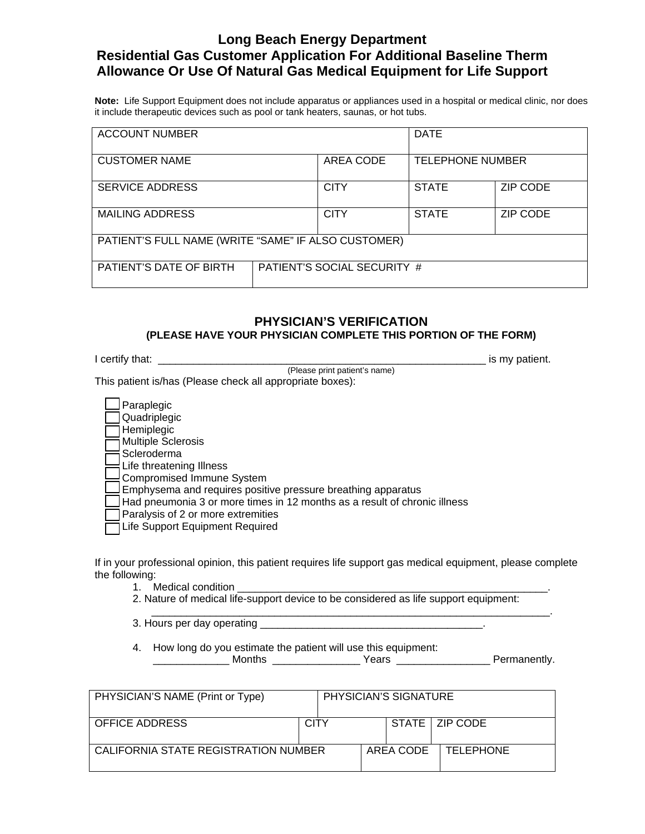## **Long Beach Energy Department Residential Gas Customer Application For Additional Baseline Therm Allowance Or Use Of Natural Gas Medical Equipment for Life Support**

**Note:** Life Support Equipment does not include apparatus or appliances used in a hospital or medical clinic, nor does it include therapeutic devices such as pool or tank heaters, saunas, or hot tubs.

| <b>ACCOUNT NUMBER</b>                               |                             |             | <b>DATE</b>             |                 |
|-----------------------------------------------------|-----------------------------|-------------|-------------------------|-----------------|
| <b>CUSTOMER NAME</b>                                |                             | AREA CODE   | <b>TELEPHONE NUMBER</b> |                 |
| <b>SERVICE ADDRESS</b>                              |                             | <b>CITY</b> | <b>STATE</b>            | <b>ZIP CODE</b> |
| <b>MAILING ADDRESS</b>                              |                             | <b>CITY</b> | <b>STATE</b>            | ZIP CODE        |
| PATIENT'S FULL NAME (WRITE "SAME" IF ALSO CUSTOMER) |                             |             |                         |                 |
| PATIENT'S DATE OF BIRTH                             | PATIENT'S SOCIAL SECURITY # |             |                         |                 |

### **PHYSICIAN'S VERIFICATION (PLEASE HAVE YOUR PHYSICIAN COMPLETE THIS PORTION OF THE FORM)**

| I certify that: |                               | is my patient. |
|-----------------|-------------------------------|----------------|
|                 | (Please print patient's name) |                |

This patient is/has (Please check all appropriate boxes):

| 」Paraplegic                                                               |
|---------------------------------------------------------------------------|
| Quadriplegic                                                              |
| $\Box$ Hemiplegic                                                         |
| Multiple Sclerosis                                                        |
| i Scleroderma                                                             |
| Life threatening Illness                                                  |
| Compromised Immune System                                                 |
| Emphysema and requires positive pressure breathing apparatus              |
| Had pneumonia 3 or more times in 12 months as a result of chronic illness |
| Paralysis of 2 or more extremities                                        |
| Life Support Equipment Required                                           |

If in your professional opinion, this patient requires life support gas medical equipment, please complete the following:

\_\_\_\_\_\_\_\_\_\_\_\_\_\_\_\_\_\_\_\_\_\_\_\_\_\_\_\_\_\_\_\_\_\_\_\_\_\_\_\_\_\_\_\_\_\_\_\_\_\_\_\_\_\_\_\_\_\_\_\_\_\_\_\_\_\_\_\_.

- 1. Medical condition
- 2. Nature of medical life-support device to be considered as life support equipment:
- 3. Hours per day operating \_\_\_\_\_\_\_\_\_\_\_\_\_\_\_\_\_\_\_\_\_\_\_\_\_\_\_\_\_\_\_\_\_\_\_\_\_\_.

4. How long do you estimate the patient will use this equipment:

| .<br>.w<br>. .<br>__________<br>___ |  |
|-------------------------------------|--|
|-------------------------------------|--|

| PHYSICIAN'S NAME (Print or Type)     |             |           | PHYSICIAN'S SIGNATURE |                  |
|--------------------------------------|-------------|-----------|-----------------------|------------------|
| <b>OFFICE ADDRESS</b>                | <b>CITY</b> |           |                       | STATE   ZIP CODE |
| CALIFORNIA STATE REGISTRATION NUMBER |             | AREA CODE | <b>TELEPHONE</b>      |                  |